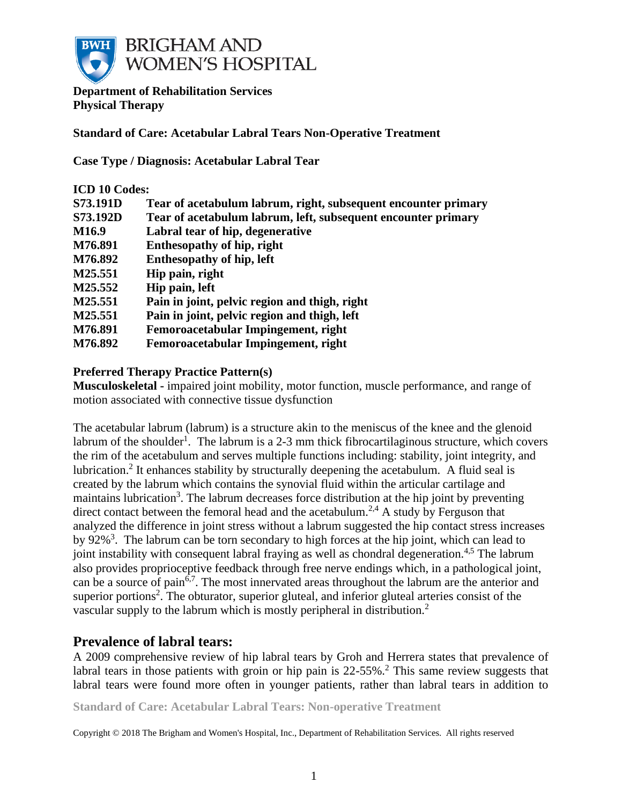

**Department of Rehabilitation Services Physical Therapy**

**Standard of Care: Acetabular Labral Tears Non-Operative Treatment**

**Case Type / Diagnosis: Acetabular Labral Tear**

| <b>ICD 10 Codes:</b> |                                                                |  |
|----------------------|----------------------------------------------------------------|--|
| <b>S73.191D</b>      | Tear of acetabulum labrum, right, subsequent encounter primary |  |
| <b>S73.192D</b>      | Tear of acetabulum labrum, left, subsequent encounter primary  |  |
| M <sub>16.9</sub>    | Labral tear of hip, degenerative                               |  |
| M76.891              | Enthesopathy of hip, right                                     |  |
| M76.892              | <b>Enthesopathy of hip, left</b>                               |  |
| M25.551              | Hip pain, right                                                |  |
| M25.552              | Hip pain, left                                                 |  |
| M25.551              | Pain in joint, pelvic region and thigh, right                  |  |
| M25.551              | Pain in joint, pelvic region and thigh, left                   |  |
| M76.891              | Femoroacetabular Impingement, right                            |  |
| M76.892              | Femoroacetabular Impingement, right                            |  |

### **Preferred Therapy Practice Pattern(s)**

**Musculoskeletal -** impaired joint mobility, motor function, muscle performance, and range of motion associated with connective tissue dysfunction

The acetabular labrum (labrum) is a structure akin to the meniscus of the knee and the glenoid labrum of the shoulder<sup>1</sup>. The labrum is a 2-3 mm thick fibrocartilaginous structure, which covers the rim of the acetabulum and serves multiple functions including: stability, joint integrity, and lubrication.<sup>2</sup> It enhances stability by structurally deepening the acetabulum. A fluid seal is created by the labrum which contains the synovial fluid within the articular cartilage and maintains lubrication<sup>3</sup>. The labrum decreases force distribution at the hip joint by preventing direct contact between the femoral head and the acetabulum.<sup>2,4</sup> A study by Ferguson that analyzed the difference in joint stress without a labrum suggested the hip contact stress increases by  $92\%$ <sup>3</sup>. The labrum can be torn secondary to high forces at the hip joint, which can lead to joint instability with consequent labral fraying as well as chondral degeneration.<sup>4,5</sup> The labrum also provides proprioceptive feedback through free nerve endings which, in a pathological joint, can be a source of pain<sup>6,7</sup>. The most innervated areas throughout the labrum are the anterior and superior portions<sup>2</sup>. The obturator, superior gluteal, and inferior gluteal arteries consist of the vascular supply to the labrum which is mostly peripheral in distribution.<sup>2</sup>

## **Prevalence of labral tears:**

A 2009 comprehensive review of hip labral tears by Groh and Herrera states that prevalence of labral tears in those patients with groin or hip pain is 22-55%.<sup>2</sup> This same review suggests that labral tears were found more often in younger patients, rather than labral tears in addition to

**Standard of Care: Acetabular Labral Tears: Non-operative Treatment**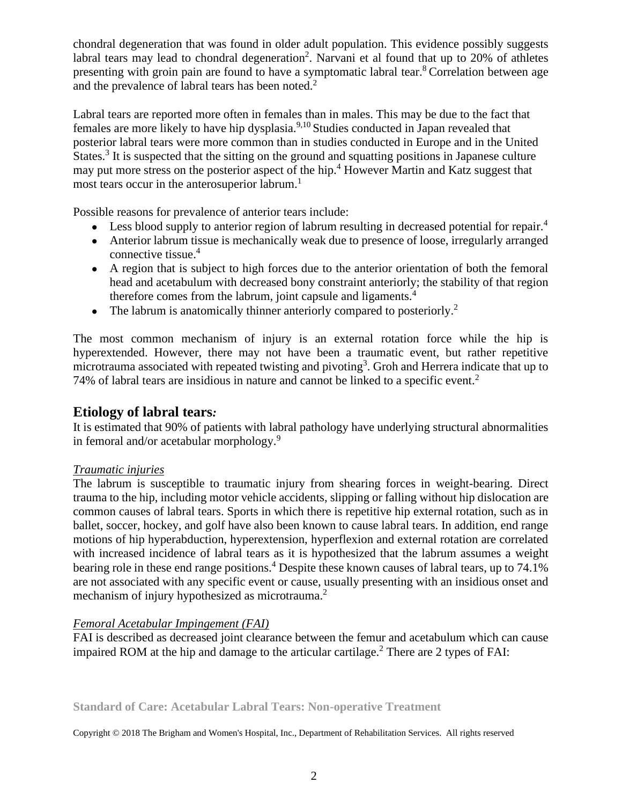chondral degeneration that was found in older adult population. This evidence possibly suggests labral tears may lead to chondral degeneration<sup>2</sup>. Narvani et al found that up to 20% of athletes presenting with groin pain are found to have a symptomatic labral tear.<sup>8</sup> Correlation between age and the prevalence of labral tears has been noted.<sup>2</sup>

Labral tears are reported more often in females than in males. This may be due to the fact that females are more likely to have hip dysplasia.<sup>9,10</sup> Studies conducted in Japan revealed that posterior labral tears were more common than in studies conducted in Europe and in the United States.<sup>3</sup> It is suspected that the sitting on the ground and squatting positions in Japanese culture may put more stress on the posterior aspect of the hip.<sup>4</sup> However Martin and Katz suggest that most tears occur in the anterosuperior labrum.<sup>1</sup>

Possible reasons for prevalence of anterior tears include:

- Less blood supply to anterior region of labrum resulting in decreased potential for repair.<sup>4</sup>
- Anterior labrum tissue is mechanically weak due to presence of loose, irregularly arranged connective tissue.<sup>4</sup>
- A region that is subject to high forces due to the anterior orientation of both the femoral head and acetabulum with decreased bony constraint anteriorly; the stability of that region therefore comes from the labrum, joint capsule and ligaments.<sup>4</sup>
- The labrum is anatomically thinner anteriorly compared to posteriorly.<sup>2</sup>

The most common mechanism of injury is an external rotation force while the hip is hyperextended. However, there may not have been a traumatic event, but rather repetitive microtrauma associated with repeated twisting and pivoting<sup>3</sup>. Groh and Herrera indicate that up to 74% of labral tears are insidious in nature and cannot be linked to a specific event.<sup>2</sup>

## **Etiology of labral tears***:*

It is estimated that 90% of patients with labral pathology have underlying structural abnormalities in femoral and/or acetabular morphology.<sup>9</sup>

## *Traumatic injuries*

The labrum is susceptible to traumatic injury from shearing forces in weight-bearing. Direct trauma to the hip, including motor vehicle accidents, slipping or falling without hip dislocation are common causes of labral tears. Sports in which there is repetitive hip external rotation, such as in ballet, soccer, hockey, and golf have also been known to cause labral tears. In addition, end range motions of hip hyperabduction, hyperextension, hyperflexion and external rotation are correlated with increased incidence of labral tears as it is hypothesized that the labrum assumes a weight bearing role in these end range positions.<sup>4</sup> Despite these known causes of labral tears, up to 74.1% are not associated with any specific event or cause, usually presenting with an insidious onset and mechanism of injury hypothesized as microtrauma.<sup>2</sup>

## *Femoral Acetabular Impingement (FAI)*

FAI is described as decreased joint clearance between the femur and acetabulum which can cause impaired ROM at the hip and damage to the articular cartilage.<sup>2</sup> There are 2 types of FAI:

**Standard of Care: Acetabular Labral Tears: Non-operative Treatment**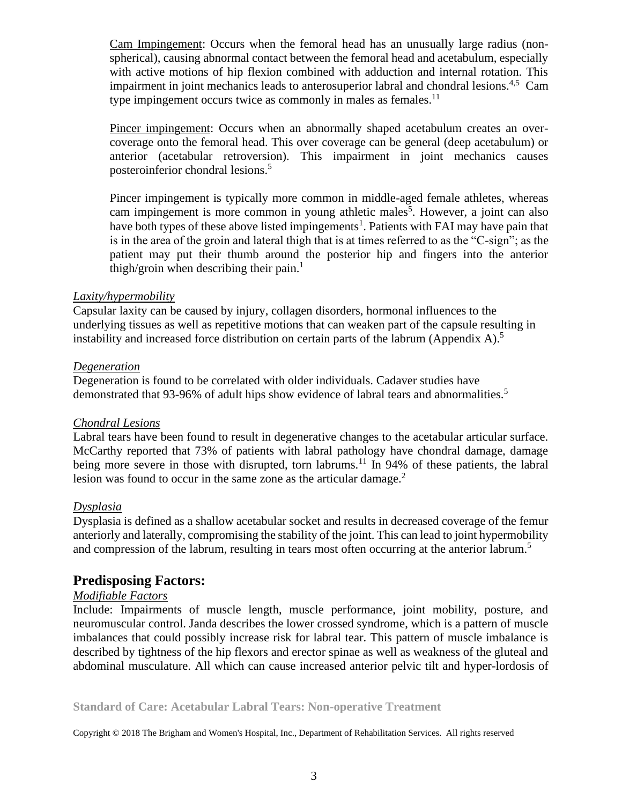Cam Impingement: Occurs when the femoral head has an unusually large radius (nonspherical), causing abnormal contact between the femoral head and acetabulum, especially with active motions of hip flexion combined with adduction and internal rotation. This impairment in joint mechanics leads to anterosuperior labral and chondral lesions.<sup>4,5</sup> Cam type impingement occurs twice as commonly in males as females.<sup>11</sup>

Pincer impingement: Occurs when an abnormally shaped acetabulum creates an overcoverage onto the femoral head. This over coverage can be general (deep acetabulum) or anterior (acetabular retroversion). This impairment in joint mechanics causes posteroinferior chondral lesions.<sup>5</sup>

Pincer impingement is typically more common in middle-aged female athletes, whereas cam impingement is more common in young athletic males<sup>5</sup>. However, a joint can also have both types of these above listed impingements<sup>1</sup>. Patients with FAI may have pain that is in the area of the groin and lateral thigh that is at times referred to as the "C-sign"; as the patient may put their thumb around the posterior hip and fingers into the anterior thigh/groin when describing their pain.<sup>1</sup>

#### *Laxity/hypermobility*

Capsular laxity can be caused by injury, collagen disorders, hormonal influences to the underlying tissues as well as repetitive motions that can weaken part of the capsule resulting in instability and increased force distribution on certain parts of the labrum (Appendix A).<sup>5</sup>

#### *Degeneration*

Degeneration is found to be correlated with older individuals. Cadaver studies have demonstrated that 93-96% of adult hips show evidence of labral tears and abnormalities.<sup>5</sup>

#### *Chondral Lesions*

Labral tears have been found to result in degenerative changes to the acetabular articular surface. McCarthy reported that 73% of patients with labral pathology have chondral damage, damage being more severe in those with disrupted, torn labrums.<sup>11</sup> In 94% of these patients, the labral lesion was found to occur in the same zone as the articular damage.<sup>2</sup>

## *Dysplasia*

Dysplasia is defined as a shallow acetabular socket and results in decreased coverage of the femur anteriorly and laterally, compromising the stability of the joint. This can lead to joint hypermobility and compression of the labrum, resulting in tears most often occurring at the anterior labrum.<sup>5</sup>

## **Predisposing Factors:**

## *Modifiable Factors*

Include: Impairments of muscle length, muscle performance, joint mobility, posture, and neuromuscular control. Janda describes the lower crossed syndrome, which is a pattern of muscle imbalances that could possibly increase risk for labral tear. This pattern of muscle imbalance is described by tightness of the hip flexors and erector spinae as well as weakness of the gluteal and abdominal musculature. All which can cause increased anterior pelvic tilt and hyper-lordosis of

**Standard of Care: Acetabular Labral Tears: Non-operative Treatment**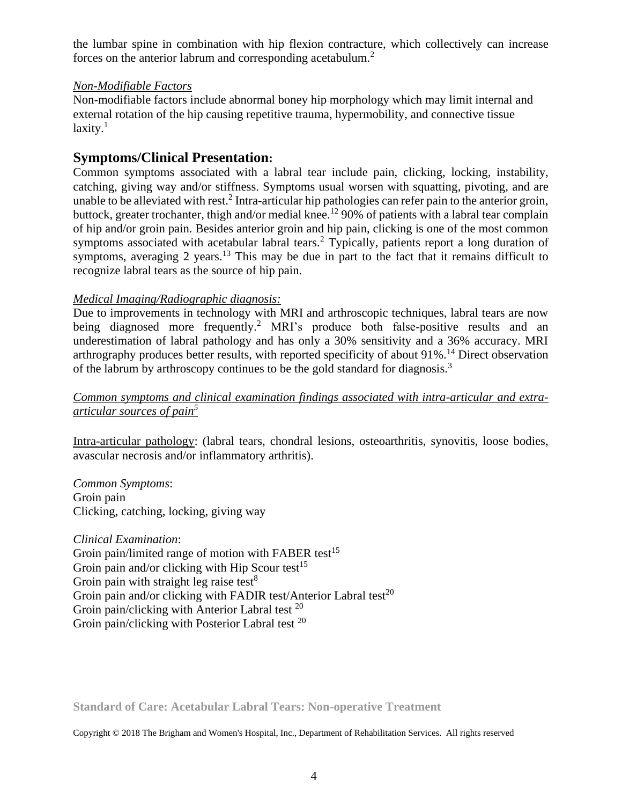the lumbar spine in combination with hip flexion contracture, which collectively can increase forces on the anterior labrum and corresponding acetabulum.<sup>2</sup>

### *Non-Modifiable Factors*

Non-modifiable factors include abnormal boney hip morphology which may limit internal and external rotation of the hip causing repetitive trauma, hypermobility, and connective tissue  $laxity.<sup>1</sup>$ 

## **Symptoms/Clinical Presentation:**

Common symptoms associated with a labral tear include pain, clicking, locking, instability, catching, giving way and/or stiffness. Symptoms usual worsen with squatting, pivoting, and are unable to be alleviated with rest.<sup>2</sup> Intra-articular hip pathologies can refer pain to the anterior groin, buttock, greater trochanter, thigh and/or medial knee.<sup>12</sup> 90% of patients with a labral tear complain of hip and/or groin pain. Besides anterior groin and hip pain, clicking is one of the most common symptoms associated with acetabular labral tears.<sup>2</sup> Typically, patients report a long duration of symptoms, averaging 2 years.<sup>13</sup> This may be due in part to the fact that it remains difficult to recognize labral tears as the source of hip pain.

## *Medical Imaging/Radiographic diagnosis:*

Due to improvements in technology with MRI and arthroscopic techniques, labral tears are now being diagnosed more frequently.<sup>2</sup> MRI's produce both false-positive results and an underestimation of labral pathology and has only a 30% sensitivity and a 36% accuracy. MRI arthrography produces better results, with reported specificity of about  $91\%$ <sup>14</sup> Direct observation of the labrum by arthroscopy continues to be the gold standard for diagnosis.<sup>3</sup>

## *Common symptoms and clinical examination findings associated with intra-articular and extraarticular sources of pain<sup>5</sup>*

Intra-articular pathology: (labral tears, chondral lesions, osteoarthritis, synovitis, loose bodies, avascular necrosis and/or inflammatory arthritis).

*Common Symptoms*: Groin pain Clicking, catching, locking, giving way

*Clinical Examination*: Groin pain/limited range of motion with FABER test<sup>15</sup> Groin pain and/or clicking with Hip Scour test<sup>15</sup> Groin pain with straight leg raise test $8<sup>8</sup>$ Groin pain and/or clicking with FADIR test/Anterior Labral test<sup>20</sup> Groin pain/clicking with Anterior Labral test <sup>20</sup> Groin pain/clicking with Posterior Labral test <sup>20</sup>

**Standard of Care: Acetabular Labral Tears: Non-operative Treatment**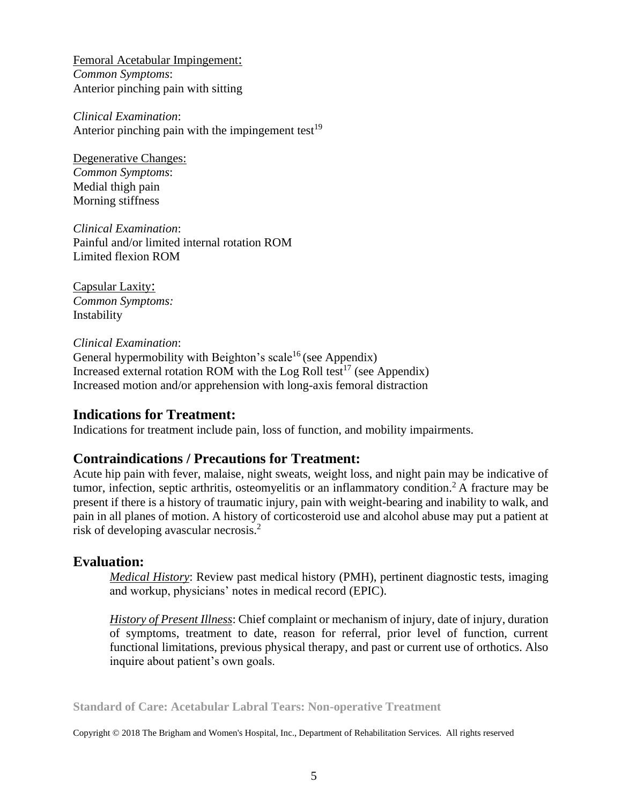Femoral Acetabular Impingement: *Common Symptoms*: Anterior pinching pain with sitting

*Clinical Examination*: Anterior pinching pain with the impingement test $19$ 

Degenerative Changes: *Common Symptoms*: Medial thigh pain Morning stiffness

*Clinical Examination*: Painful and/or limited internal rotation ROM Limited flexion ROM

Capsular Laxity: *Common Symptoms:* Instability

*Clinical Examination*: General hypermobility with Beighton's scale<sup>16</sup> (see Appendix) Increased external rotation ROM with the Log Roll test<sup>17</sup> (see Appendix) Increased motion and/or apprehension with long-axis femoral distraction

## **Indications for Treatment:**

Indications for treatment include pain, loss of function, and mobility impairments.

## **Contraindications / Precautions for Treatment:**

Acute hip pain with fever, malaise, night sweats, weight loss, and night pain may be indicative of tumor, infection, septic arthritis, osteomyelitis or an inflammatory condition.<sup>2</sup> A fracture may be present if there is a history of traumatic injury, pain with weight-bearing and inability to walk, and pain in all planes of motion. A history of corticosteroid use and alcohol abuse may put a patient at risk of developing avascular necrosis.<sup>2</sup>

## **Evaluation:**

*Medical History*: Review past medical history (PMH), pertinent diagnostic tests, imaging and workup, physicians' notes in medical record (EPIC).

*History of Present Illness*: Chief complaint or mechanism of injury, date of injury, duration of symptoms, treatment to date, reason for referral, prior level of function, current functional limitations, previous physical therapy, and past or current use of orthotics. Also inquire about patient's own goals.

**Standard of Care: Acetabular Labral Tears: Non-operative Treatment**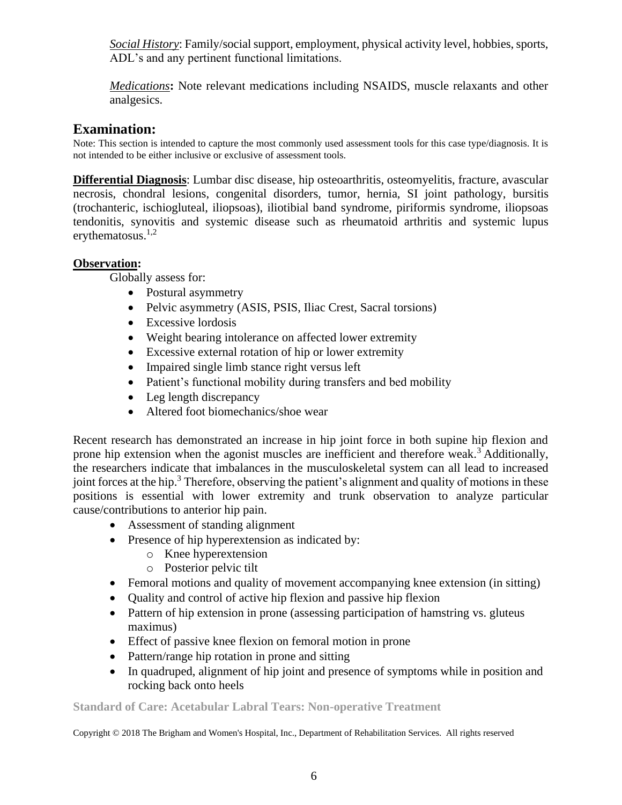*Social History*: Family/social support, employment, physical activity level, hobbies, sports, ADL's and any pertinent functional limitations.

*Medications***:** Note relevant medications including NSAIDS, muscle relaxants and other analgesics.

# **Examination:**

Note: This section is intended to capture the most commonly used assessment tools for this case type/diagnosis. It is not intended to be either inclusive or exclusive of assessment tools.

**Differential Diagnosis**: Lumbar disc disease, hip osteoarthritis, osteomyelitis, fracture, avascular necrosis, chondral lesions, congenital disorders, tumor, hernia, SI joint pathology, bursitis (trochanteric, ischiogluteal, iliopsoas), iliotibial band syndrome, piriformis syndrome, iliopsoas tendonitis, synovitis and systemic disease such as rheumatoid arthritis and systemic lupus erythematosus. $1,2$ 

## **Observation:**

Globally assess for:

- Postural asymmetry
- Pelvic asymmetry (ASIS, PSIS, Iliac Crest, Sacral torsions)
- Excessive lordosis
- Weight bearing intolerance on affected lower extremity
- Excessive external rotation of hip or lower extremity
- Impaired single limb stance right versus left
- Patient's functional mobility during transfers and bed mobility
- Leg length discrepancy
- Altered foot biomechanics/shoe wear

Recent research has demonstrated an increase in hip joint force in both supine hip flexion and prone hip extension when the agonist muscles are inefficient and therefore weak.<sup>3</sup> Additionally, the researchers indicate that imbalances in the musculoskeletal system can all lead to increased joint forces at the hip.<sup>3</sup> Therefore, observing the patient's alignment and quality of motions in these positions is essential with lower extremity and trunk observation to analyze particular cause/contributions to anterior hip pain.

- Assessment of standing alignment
- Presence of hip hyperextension as indicated by:
	- o Knee hyperextension
	- o Posterior pelvic tilt
- Femoral motions and quality of movement accompanying knee extension (in sitting)
- Quality and control of active hip flexion and passive hip flexion
- Pattern of hip extension in prone (assessing participation of hamstring vs. gluteus maximus)
- Effect of passive knee flexion on femoral motion in prone
- Pattern/range hip rotation in prone and sitting
- In quadruped, alignment of hip joint and presence of symptoms while in position and rocking back onto heels

## **Standard of Care: Acetabular Labral Tears: Non-operative Treatment**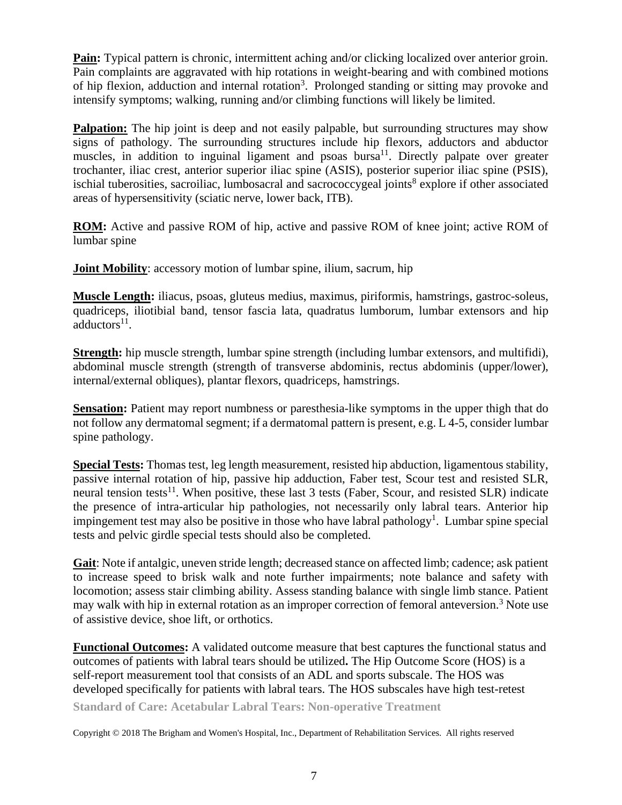**Pain:** Typical pattern is chronic, intermittent aching and/or clicking localized over anterior groin. Pain complaints are aggravated with hip rotations in weight-bearing and with combined motions of hip flexion, adduction and internal rotation<sup>3</sup>. Prolonged standing or sitting may provoke and intensify symptoms; walking, running and/or climbing functions will likely be limited.

**Palpation:** The hip joint is deep and not easily palpable, but surrounding structures may show signs of pathology. The surrounding structures include hip flexors, adductors and abductor muscles, in addition to inguinal ligament and psoas bursa<sup>11</sup>. Directly palpate over greater trochanter, iliac crest, anterior superior iliac spine (ASIS), posterior superior iliac spine (PSIS), ischial tuberosities, sacroiliac, lumbosacral and sacrococcygeal joints<sup>8</sup> explore if other associated areas of hypersensitivity (sciatic nerve, lower back, ITB).

**ROM:** Active and passive ROM of hip, active and passive ROM of knee joint; active ROM of lumbar spine

**Joint Mobility**: accessory motion of lumbar spine, ilium, sacrum, hip

**Muscle Length:** iliacus, psoas, gluteus medius, maximus, piriformis, hamstrings, gastroc-soleus, quadriceps, iliotibial band, tensor fascia lata, quadratus lumborum, lumbar extensors and hip adductors<sup>11</sup>.

**Strength:** hip muscle strength, lumbar spine strength (including lumbar extensors, and multifidi), abdominal muscle strength (strength of transverse abdominis, rectus abdominis (upper/lower), internal/external obliques), plantar flexors, quadriceps, hamstrings.

**Sensation:** Patient may report numbness or paresthesia-like symptoms in the upper thigh that do not follow any dermatomal segment; if a dermatomal pattern is present, e.g. L 4-5, consider lumbar spine pathology.

**Special Tests:** Thomas test, leg length measurement, resisted hip abduction, ligamentous stability, passive internal rotation of hip, passive hip adduction, Faber test, Scour test and resisted SLR, neural tension tests<sup>11</sup>. When positive, these last 3 tests (Faber, Scour, and resisted SLR) indicate the presence of intra-articular hip pathologies, not necessarily only labral tears. Anterior hip impingement test may also be positive in those who have labral pathology<sup>1</sup>. Lumbar spine special tests and pelvic girdle special tests should also be completed.

**Gait**: Note if antalgic, uneven stride length; decreased stance on affected limb; cadence; ask patient to increase speed to brisk walk and note further impairments; note balance and safety with locomotion; assess stair climbing ability. Assess standing balance with single limb stance. Patient may walk with hip in external rotation as an improper correction of femoral anteversion.<sup>3</sup> Note use of assistive device, shoe lift, or orthotics.

**Functional Outcomes:** A validated outcome measure that best captures the functional status and outcomes of patients with labral tears should be utilized**.** The Hip Outcome Score (HOS) is a self-report measurement tool that consists of an ADL and sports subscale. The HOS was developed specifically for patients with labral tears. The HOS subscales have high test-retest

**Standard of Care: Acetabular Labral Tears: Non-operative Treatment**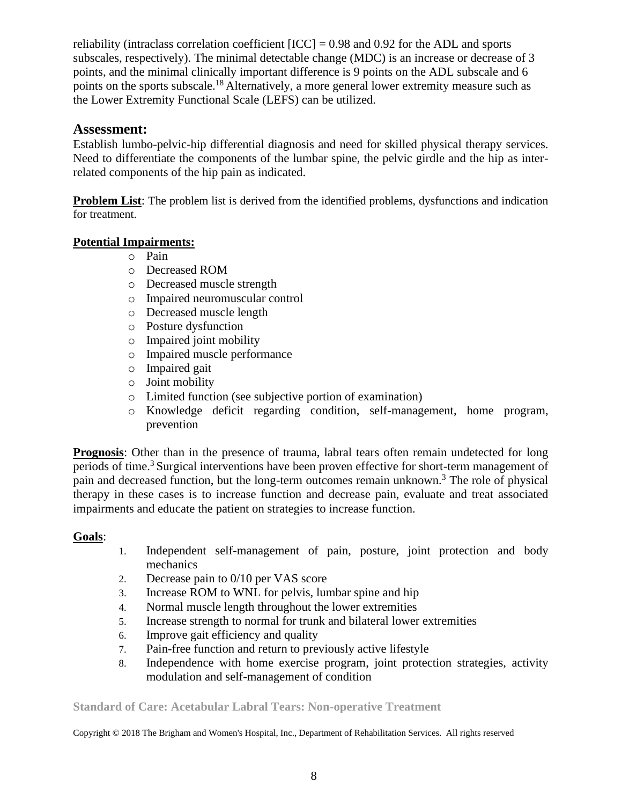reliability (intraclass correlation coefficient [ICC] = 0.98 and 0.92 for the ADL and sports subscales, respectively). The minimal detectable change (MDC) is an increase or decrease of 3 points, and the minimal clinically important difference is 9 points on the ADL subscale and 6 points on the sports subscale.<sup>18</sup> Alternatively, a more general lower extremity measure such as the Lower Extremity Functional Scale (LEFS) can be utilized.

## **Assessment:**

Establish lumbo-pelvic-hip differential diagnosis and need for skilled physical therapy services. Need to differentiate the components of the lumbar spine, the pelvic girdle and the hip as interrelated components of the hip pain as indicated.

**Problem List:** The problem list is derived from the identified problems, dysfunctions and indication for treatment.

## **Potential Impairments:**

- o Pain
- o Decreased ROM
- o Decreased muscle strength
- o Impaired neuromuscular control
- o Decreased muscle length
- o Posture dysfunction
- o Impaired joint mobility
- o Impaired muscle performance
- o Impaired gait
- o Joint mobility
- o Limited function (see subjective portion of examination)
- o Knowledge deficit regarding condition, self-management, home program, prevention

**Prognosis**: Other than in the presence of trauma, labral tears often remain undetected for long periods of time.<sup>3</sup> Surgical interventions have been proven effective for short-term management of pain and decreased function, but the long-term outcomes remain unknown.<sup>3</sup> The role of physical therapy in these cases is to increase function and decrease pain, evaluate and treat associated impairments and educate the patient on strategies to increase function.

## **Goals**:

- 1. Independent self-management of pain, posture, joint protection and body mechanics
- 2. Decrease pain to 0/10 per VAS score
- 3. Increase ROM to WNL for pelvis, lumbar spine and hip
- 4. Normal muscle length throughout the lower extremities
- 5. Increase strength to normal for trunk and bilateral lower extremities
- 6. Improve gait efficiency and quality
- 7. Pain-free function and return to previously active lifestyle
- 8. Independence with home exercise program, joint protection strategies, activity modulation and self-management of condition

**Standard of Care: Acetabular Labral Tears: Non-operative Treatment**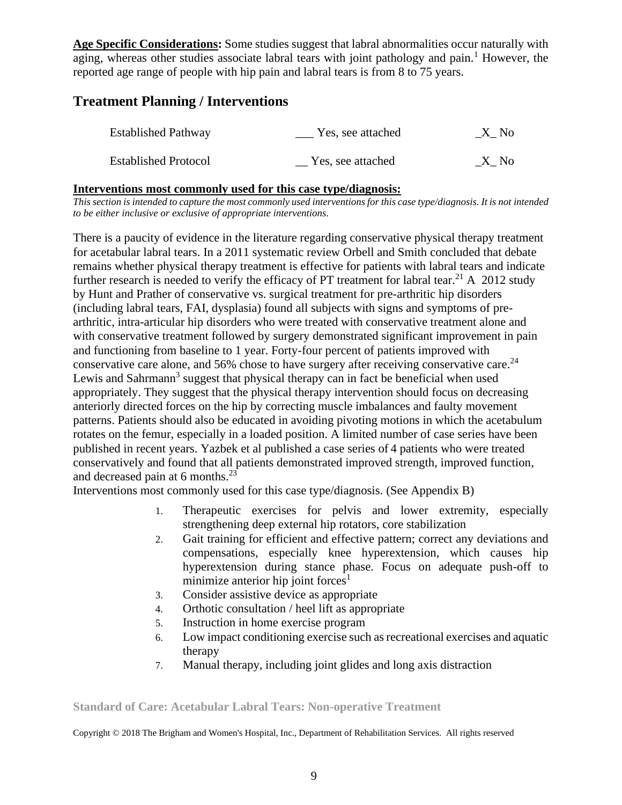**Age Specific Considerations:** Some studies suggest that labral abnormalities occur naturally with aging, whereas other studies associate labral tears with joint pathology and pain.<sup>1</sup> However, the reported age range of people with hip pain and labral tears is from 8 to 75 years.

# **Treatment Planning / Interventions**

| <b>Established Pathway</b>  | Yes, see attached | X No |
|-----------------------------|-------------------|------|
| <b>Established Protocol</b> | Yes, see attached | X No |

### **Interventions most commonly used for this case type/diagnosis:**

*This section is intended to capture the most commonly used interventions for this case type/diagnosis. It is not intended to be either inclusive or exclusive of appropriate interventions.*

There is a paucity of evidence in the literature regarding conservative physical therapy treatment for acetabular labral tears. In a 2011 systematic review Orbell and Smith concluded that debate remains whether physical therapy treatment is effective for patients with labral tears and indicate further research is needed to verify the efficacy of PT treatment for labral tear.<sup>21</sup> A 2012 study by Hunt and Prather of conservative vs. surgical treatment for pre-arthritic hip disorders (including labral tears, FAI, dysplasia) found all subjects with signs and symptoms of prearthritic, intra-articular hip disorders who were treated with conservative treatment alone and with conservative treatment followed by surgery demonstrated significant improvement in pain and functioning from baseline to 1 year. Forty-four percent of patients improved with conservative care alone, and 56% chose to have surgery after receiving conservative care.<sup>24</sup> Lewis and Sahrmann<sup>3</sup> suggest that physical therapy can in fact be beneficial when used appropriately. They suggest that the physical therapy intervention should focus on decreasing anteriorly directed forces on the hip by correcting muscle imbalances and faulty movement patterns. Patients should also be educated in avoiding pivoting motions in which the acetabulum rotates on the femur, especially in a loaded position. A limited number of case series have been published in recent years. Yazbek et al published a case series of 4 patients who were treated conservatively and found that all patients demonstrated improved strength, improved function, and decreased pain at 6 months.<sup>23</sup>

Interventions most commonly used for this case type/diagnosis. (See Appendix B)

- 1. Therapeutic exercises for pelvis and lower extremity, especially strengthening deep external hip rotators, core stabilization
- 2. Gait training for efficient and effective pattern; correct any deviations and compensations, especially knee hyperextension, which causes hip hyperextension during stance phase. Focus on adequate push-off to minimize anterior hip joint forces<sup>1</sup>
- 3. Consider assistive device as appropriate
- 4. Orthotic consultation / heel lift as appropriate
- 5. Instruction in home exercise program
- 6. Low impact conditioning exercise such as recreational exercises and aquatic therapy
- 7. Manual therapy, including joint glides and long axis distraction

**Standard of Care: Acetabular Labral Tears: Non-operative Treatment**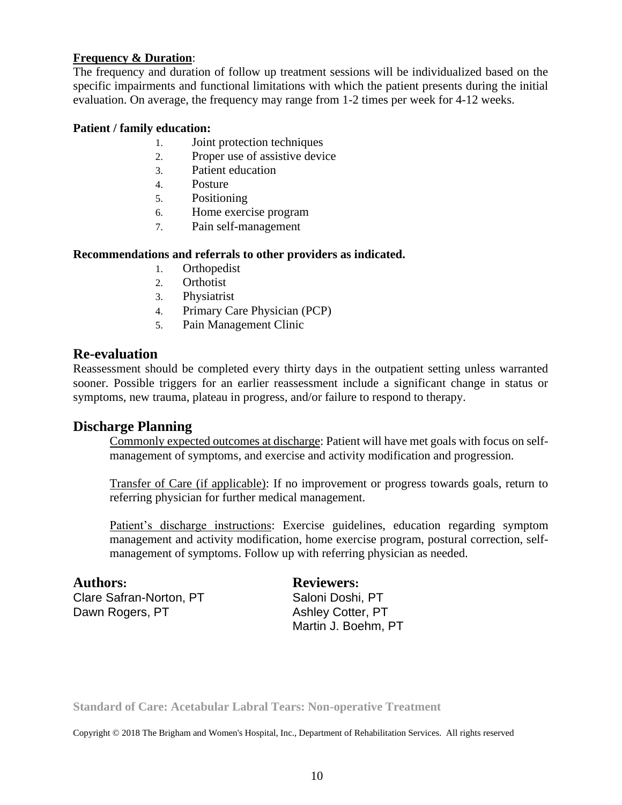### **Frequency & Duration**:

The frequency and duration of follow up treatment sessions will be individualized based on the specific impairments and functional limitations with which the patient presents during the initial evaluation. On average, the frequency may range from 1-2 times per week for 4-12 weeks.

#### **Patient / family education:**

- 1. Joint protection techniques
- 2. Proper use of assistive device
- 3. Patient education
- 4. Posture
- 5. Positioning
- 6. Home exercise program
- 7. Pain self-management

#### **Recommendations and referrals to other providers as indicated.**

- 1. Orthopedist
- 2. Orthotist
- 3. Physiatrist
- 4. Primary Care Physician (PCP)
- 5. Pain Management Clinic

### **Re-evaluation**

Reassessment should be completed every thirty days in the outpatient setting unless warranted sooner. Possible triggers for an earlier reassessment include a significant change in status or symptoms, new trauma, plateau in progress, and/or failure to respond to therapy.

## **Discharge Planning**

Commonly expected outcomes at discharge: Patient will have met goals with focus on selfmanagement of symptoms, and exercise and activity modification and progression.

Transfer of Care (if applicable): If no improvement or progress towards goals, return to referring physician for further medical management.

Patient's discharge instructions: Exercise guidelines, education regarding symptom management and activity modification, home exercise program, postural correction, selfmanagement of symptoms. Follow up with referring physician as needed.

**Authors: Reviewers:** Clare Safran-Norton, PT Saloni Doshi, PT Dawn Rogers, PT Ashley Cotter, PT

Martin J. Boehm, PT

**Standard of Care: Acetabular Labral Tears: Non-operative Treatment**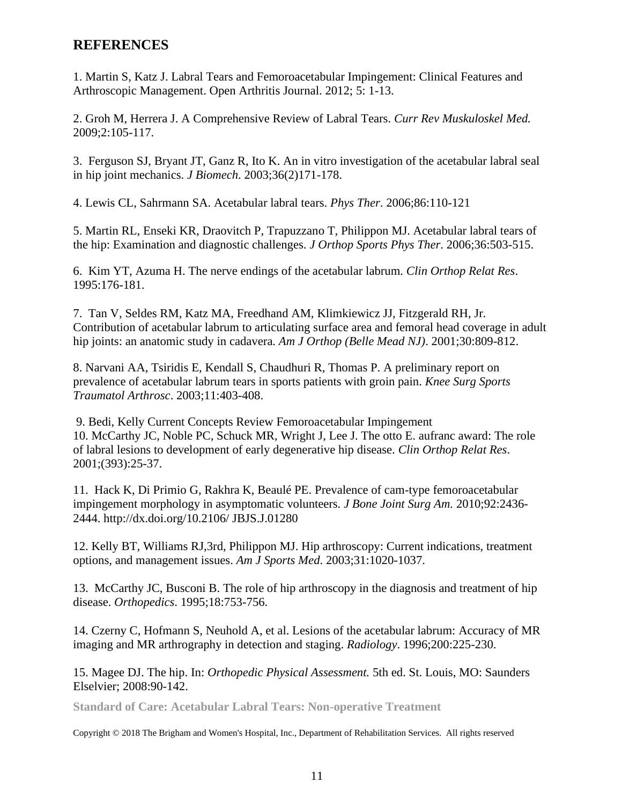## **REFERENCES**

1. Martin S, Katz J. Labral Tears and Femoroacetabular Impingement: Clinical Features and Arthroscopic Management. Open Arthritis Journal. 2012; 5: 1-13.

2. Groh M, Herrera J. A Comprehensive Review of Labral Tears. *Curr Rev Muskuloskel Med.* 2009;2:105-117.

3. Ferguson SJ, Bryant JT, Ganz R, Ito K. An in vitro investigation of the acetabular labral seal in hip joint mechanics. *J Biomech*. 2003;36(2)171-178.

4. Lewis CL, Sahrmann SA. Acetabular labral tears. *Phys Ther*. 2006;86:110-121

5. Martin RL, Enseki KR, Draovitch P, Trapuzzano T, Philippon MJ. Acetabular labral tears of the hip: Examination and diagnostic challenges. *J Orthop Sports Phys Ther*. 2006;36:503-515.

6. Kim YT, Azuma H. The nerve endings of the acetabular labrum. *Clin Orthop Relat Res*. 1995:176-181.

7. Tan V, Seldes RM, Katz MA, Freedhand AM, Klimkiewicz JJ, Fitzgerald RH, Jr. Contribution of acetabular labrum to articulating surface area and femoral head coverage in adult hip joints: an anatomic study in cadavera. *Am J Orthop (Belle Mead NJ)*. 2001;30:809-812.

8. Narvani AA, Tsiridis E, Kendall S, Chaudhuri R, Thomas P. A preliminary report on prevalence of acetabular labrum tears in sports patients with groin pain. *Knee Surg Sports Traumatol Arthrosc*. 2003;11:403-408.

9. Bedi, Kelly Current Concepts Review Femoroacetabular Impingement 10. McCarthy JC, Noble PC, Schuck MR, Wright J, Lee J. The otto E. aufranc award: The role of labral lesions to development of early degenerative hip disease. *Clin Orthop Relat Res*. 2001;(393):25-37.

11. Hack K, Di Primio G, Rakhra K, Beaulé PE. Prevalence of cam-type femoroacetabular impingement morphology in asymptomatic volunteers. *J Bone Joint Surg Am.* 2010;92:2436- 2444. http://dx.doi.org/10.2106/ JBJS.J.01280

12. Kelly BT, Williams RJ,3rd, Philippon MJ. Hip arthroscopy: Current indications, treatment options, and management issues. *Am J Sports Med*. 2003;31:1020-1037.

13. McCarthy JC, Busconi B. The role of hip arthroscopy in the diagnosis and treatment of hip disease. *Orthopedics*. 1995;18:753-756.

14. Czerny C, Hofmann S, Neuhold A, et al. Lesions of the acetabular labrum: Accuracy of MR imaging and MR arthrography in detection and staging. *Radiology*. 1996;200:225-230.

15. Magee DJ. The hip. In: *Orthopedic Physical Assessment.* 5th ed. St. Louis, MO: Saunders Elselvier; 2008:90-142.

**Standard of Care: Acetabular Labral Tears: Non-operative Treatment**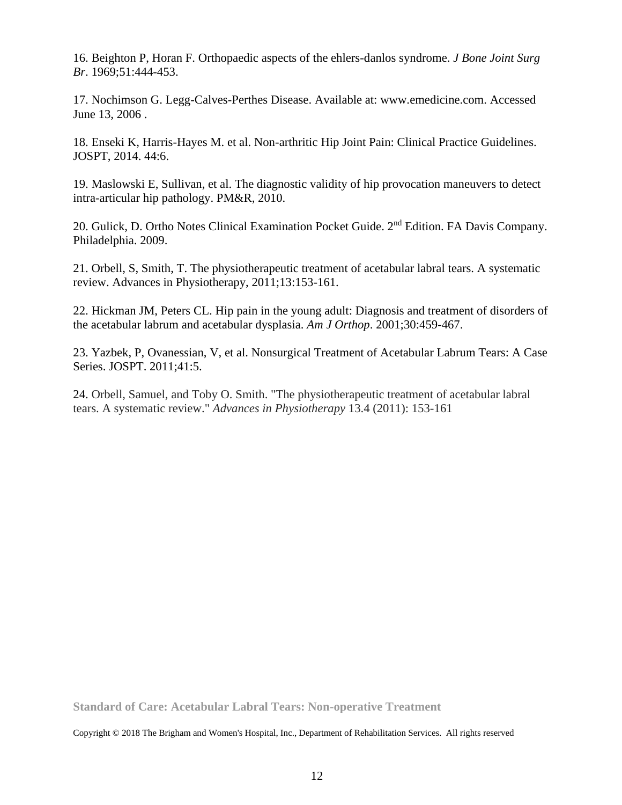16. Beighton P, Horan F. Orthopaedic aspects of the ehlers-danlos syndrome. *J Bone Joint Surg Br*. 1969;51:444-453.

17. Nochimson G. Legg-Calves-Perthes Disease. Available at: www.emedicine.com. Accessed June 13, 2006 .

18. Enseki K, Harris-Hayes M. et al. Non-arthritic Hip Joint Pain: Clinical Practice Guidelines. JOSPT, 2014. 44:6.

19. Maslowski E, Sullivan, et al. [The diagnostic validity of hip provocation maneuvers to detect](http://www.sciencedirect.com/science/article/pii/S1934148210000511)  [intra-articular hip pathology.](http://www.sciencedirect.com/science/article/pii/S1934148210000511) PM&R, 2010.

20. Gulick, D. Ortho Notes Clinical Examination Pocket Guide. 2<sup>nd</sup> Edition. FA Davis Company. Philadelphia. 2009.

21. Orbell, S, Smith, T. The physiotherapeutic treatment of acetabular labral tears. A systematic review. Advances in Physiotherapy, 2011;13:153-161.

22. Hickman JM, Peters CL. Hip pain in the young adult: Diagnosis and treatment of disorders of the acetabular labrum and acetabular dysplasia. *Am J Orthop*. 2001;30:459-467.

23. Yazbek, P, Ovanessian, V, et al. Nonsurgical Treatment of Acetabular Labrum Tears: A Case Series. JOSPT. 2011;41:5.

24. Orbell, Samuel, and Toby O. Smith. "The physiotherapeutic treatment of acetabular labral tears. A systematic review." *Advances in Physiotherapy* 13.4 (2011): 153-161

**Standard of Care: Acetabular Labral Tears: Non-operative Treatment**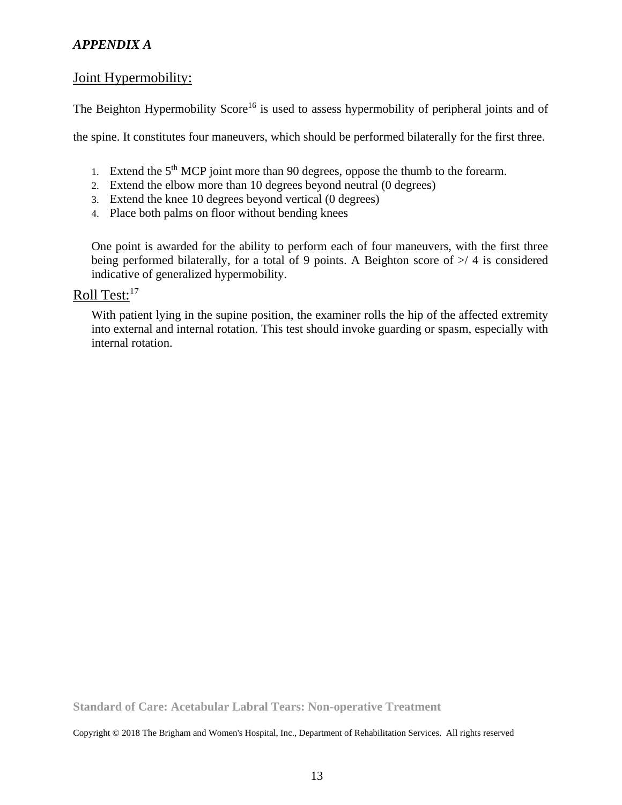## *APPENDIX A*

## Joint Hypermobility:

The Beighton Hypermobility Score<sup>16</sup> is used to assess hypermobility of peripheral joints and of

the spine. It constitutes four maneuvers, which should be performed bilaterally for the first three.

- 1. Extend the  $5<sup>th</sup> MCP$  joint more than 90 degrees, oppose the thumb to the forearm.
- 2. Extend the elbow more than 10 degrees beyond neutral (0 degrees)
- 3. Extend the knee 10 degrees beyond vertical (0 degrees)
- 4. Place both palms on floor without bending knees

One point is awarded for the ability to perform each of four maneuvers, with the first three being performed bilaterally, for a total of 9 points. A Beighton score of  $\ge$ / 4 is considered indicative of generalized hypermobility.

# Roll Test:<sup>17</sup>

With patient lying in the supine position, the examiner rolls the hip of the affected extremity into external and internal rotation. This test should invoke guarding or spasm, especially with internal rotation.

**Standard of Care: Acetabular Labral Tears: Non-operative Treatment**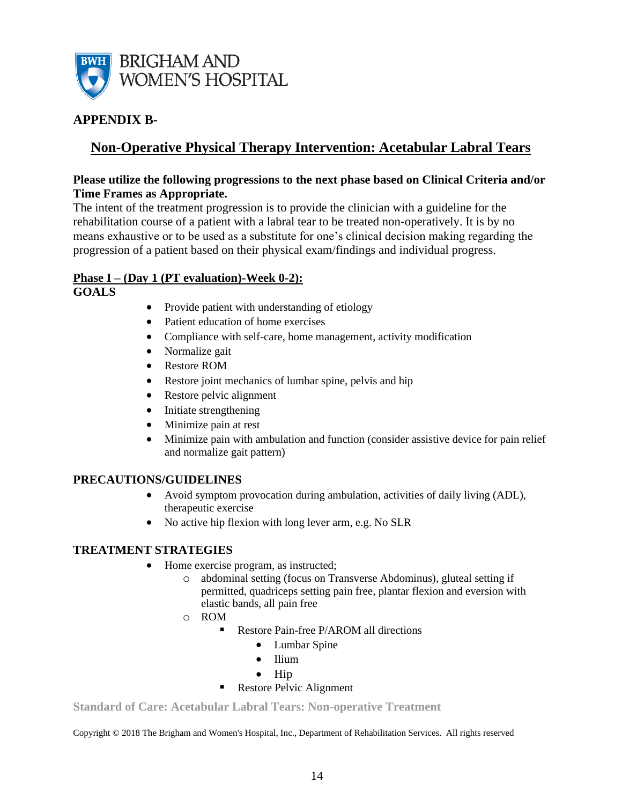

## **APPENDIX B-**

# **Non-Operative Physical Therapy Intervention: Acetabular Labral Tears**

#### **Please utilize the following progressions to the next phase based on Clinical Criteria and/or Time Frames as Appropriate.**

The intent of the treatment progression is to provide the clinician with a guideline for the rehabilitation course of a patient with a labral tear to be treated non-operatively. It is by no means exhaustive or to be used as a substitute for one's clinical decision making regarding the progression of a patient based on their physical exam/findings and individual progress.

## **Phase I – (Day 1 (PT evaluation)-Week 0-2):**

**GOALS**

- Provide patient with understanding of etiology
- Patient education of home exercises
- Compliance with self-care, home management, activity modification
- Normalize gait
- Restore ROM
- Restore joint mechanics of lumbar spine, pelvis and hip
- Restore pelvic alignment
- Initiate strengthening
- Minimize pain at rest
- Minimize pain with ambulation and function (consider assistive device for pain relief and normalize gait pattern)

## **PRECAUTIONS/GUIDELINES**

- Avoid symptom provocation during ambulation, activities of daily living (ADL), therapeutic exercise
- No active hip flexion with long lever arm, e.g. No SLR

#### **TREATMENT STRATEGIES**

- Home exercise program, as instructed;
	- o abdominal setting (focus on Transverse Abdominus), gluteal setting if permitted, quadriceps setting pain free, plantar flexion and eversion with elastic bands, all pain free
	- o ROM
		- Restore Pain-free P/AROM all directions
			- Lumbar Spine
			- Ilium
			- Hip
		- Restore Pelvic Alignment

**Standard of Care: Acetabular Labral Tears: Non-operative Treatment**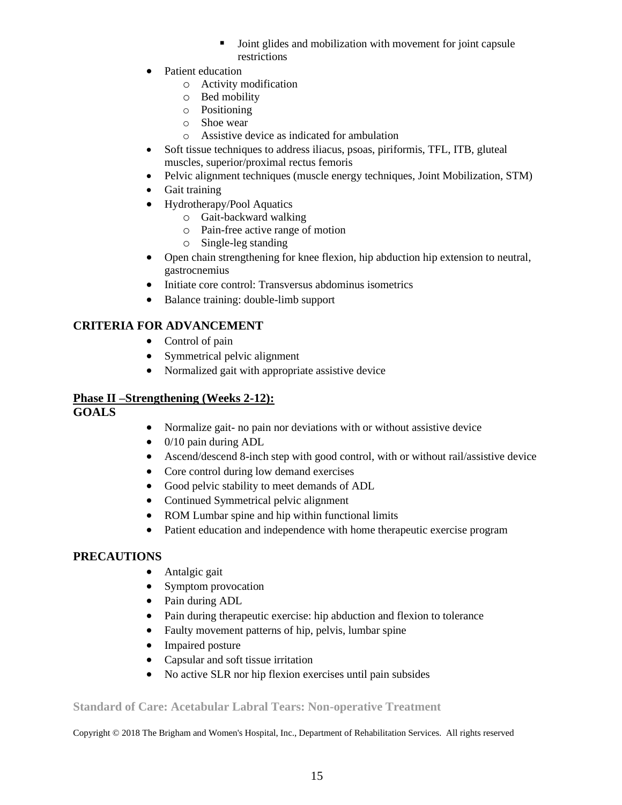- Joint glides and mobilization with movement for joint capsule restrictions
- Patient education
	- o Activity modification
	- o Bed mobility
	- o Positioning
	- o Shoe wear
	- o Assistive device as indicated for ambulation
- Soft tissue techniques to address iliacus, psoas, piriformis, TFL, ITB, gluteal muscles, superior/proximal rectus femoris
- Pelvic alignment techniques (muscle energy techniques, Joint Mobilization, STM)
- Gait training
- Hydrotherapy/Pool Aquatics
	- o Gait-backward walking
	- o Pain-free active range of motion
	- o Single-leg standing
- Open chain strengthening for knee flexion, hip abduction hip extension to neutral, gastrocnemius
- Initiate core control: Transversus abdominus isometrics
- Balance training: double-limb support

## **CRITERIA FOR ADVANCEMENT**

- Control of pain
- Symmetrical pelvic alignment
- Normalized gait with appropriate assistive device

## **Phase II –Strengthening (Weeks 2-12):**

## **GOALS**

- Normalize gait- no pain nor deviations with or without assistive device
- 0/10 pain during ADL
- Ascend/descend 8-inch step with good control, with or without rail/assistive device
- Core control during low demand exercises
- Good pelvic stability to meet demands of ADL
- Continued Symmetrical pelvic alignment
- ROM Lumbar spine and hip within functional limits
- Patient education and independence with home therapeutic exercise program

## **PRECAUTIONS**

- Antalgic gait
- Symptom provocation
- Pain during ADL
- Pain during therapeutic exercise: hip abduction and flexion to tolerance
- Faulty movement patterns of hip, pelvis, lumbar spine
- Impaired posture
- Capsular and soft tissue irritation
- No active SLR nor hip flexion exercises until pain subsides

#### **Standard of Care: Acetabular Labral Tears: Non-operative Treatment**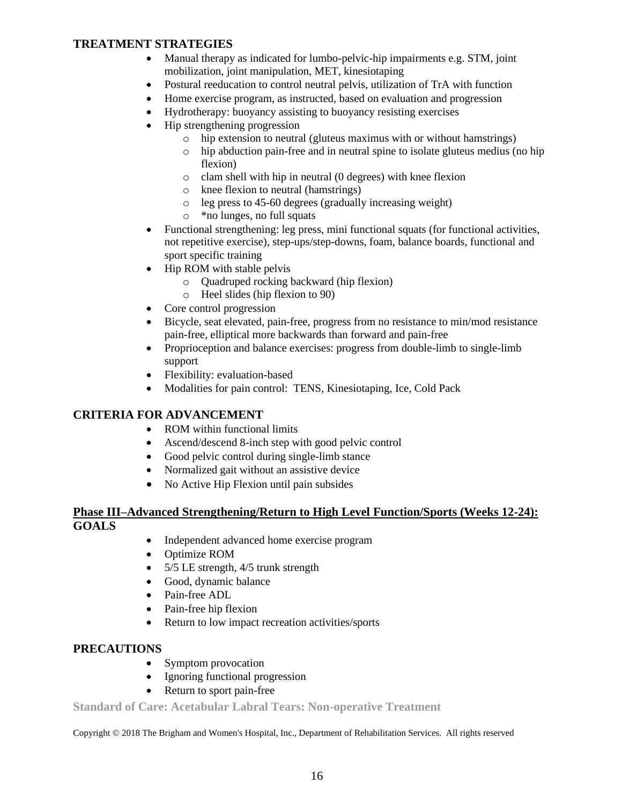### **TREATMENT STRATEGIES**

- Manual therapy as indicated for lumbo-pelvic-hip impairments e.g. STM, joint mobilization, joint manipulation, MET, kinesiotaping
- Postural reeducation to control neutral pelvis, utilization of TrA with function
- Home exercise program, as instructed, based on evaluation and progression
- Hydrotherapy: buoyancy assisting to buoyancy resisting exercises
- Hip strengthening progression
	- o hip extension to neutral (gluteus maximus with or without hamstrings)
	- o hip abduction pain-free and in neutral spine to isolate gluteus medius (no hip flexion)
	- o clam shell with hip in neutral (0 degrees) with knee flexion
	- o knee flexion to neutral (hamstrings)
	- o leg press to 45-60 degrees (gradually increasing weight)
	- o \*no lunges, no full squats
- Functional strengthening: leg press, mini functional squats (for functional activities, not repetitive exercise), step-ups/step-downs, foam, balance boards, functional and sport specific training
- Hip ROM with stable pelvis
	- o Quadruped rocking backward (hip flexion)
	- o Heel slides (hip flexion to 90)
- Core control progression
- Bicycle, seat elevated, pain-free, progress from no resistance to min/mod resistance pain-free, elliptical more backwards than forward and pain-free
- Proprioception and balance exercises: progress from double-limb to single-limb support
- Flexibility: evaluation-based
- Modalities for pain control: TENS, Kinesiotaping, Ice, Cold Pack

#### **CRITERIA FOR ADVANCEMENT**

- ROM within functional limits
- Ascend/descend 8-inch step with good pelvic control
- Good pelvic control during single-limb stance
- Normalized gait without an assistive device
- No Active Hip Flexion until pain subsides

#### **Phase III–Advanced Strengthening/Return to High Level Function/Sports (Weeks 12-24): GOALS**

- Independent advanced home exercise program
- Optimize ROM
- 5/5 LE strength, 4/5 trunk strength
- Good, dynamic balance
- Pain-free ADL
- Pain-free hip flexion
- Return to low impact recreation activities/sports

#### **PRECAUTIONS**

- Symptom provocation
- Ignoring functional progression
- Return to sport pain-free

**Standard of Care: Acetabular Labral Tears: Non-operative Treatment**